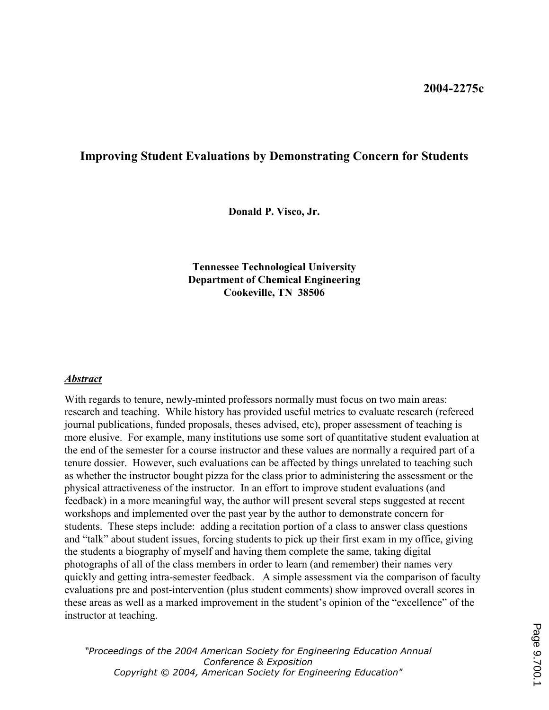## Improving Student Evaluations by Demonstrating Concern for Students

Donald P. Visco, Jr.

Tennessee Technological University Department of Chemical Engineering Cookeville, TN 38506

### Abstract

With regards to tenure, newly-minted professors normally must focus on two main areas: research and teaching. While history has provided useful metrics to evaluate research (refereed journal publications, funded proposals, theses advised, etc), proper assessment of teaching is more elusive. For example, many institutions use some sort of quantitative student evaluation at the end of the semester for a course instructor and these values are normally a required part of a tenure dossier. However, such evaluations can be affected by things unrelated to teaching such as whether the instructor bought pizza for the class prior to administering the assessment or the physical attractiveness of the instructor. In an effort to improve student evaluations (and feedback) in a more meaningful way, the author will present several steps suggested at recent workshops and implemented over the past year by the author to demonstrate concern for students. These steps include: adding a recitation portion of a class to answer class questions and "talk" about student issues, forcing students to pick up their first exam in my office, giving the students a biography of myself and having them complete the same, taking digital photographs of all of the class members in order to learn (and remember) their names very quickly and getting intra-semester feedback. A simple assessment via the comparison of faculty evaluations pre and post-intervention (plus student comments) show improved overall scores in these areas as well as a marked improvement in the student's opinion of the "excellence" of the instructor at teaching.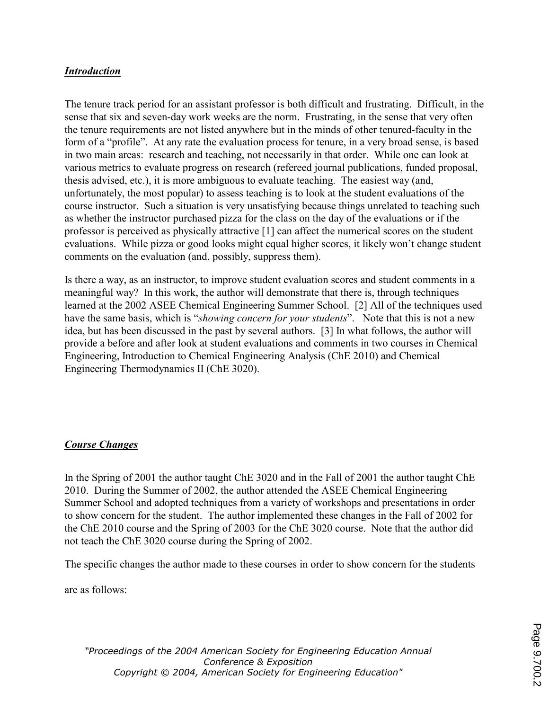## Introduction

The tenure track period for an assistant professor is both difficult and frustrating. Difficult, in the sense that six and seven-day work weeks are the norm. Frustrating, in the sense that very often the tenure requirements are not listed anywhere but in the minds of other tenured-faculty in the form of a "profile". At any rate the evaluation process for tenure, in a very broad sense, is based in two main areas: research and teaching, not necessarily in that order. While one can look at various metrics to evaluate progress on research (refereed journal publications, funded proposal, thesis advised, etc.), it is more ambiguous to evaluate teaching. The easiest way (and, unfortunately, the most popular) to assess teaching is to look at the student evaluations of the course instructor. Such a situation is very unsatisfying because things unrelated to teaching such as whether the instructor purchased pizza for the class on the day of the evaluations or if the professor is perceived as physically attractive [1] can affect the numerical scores on the student evaluations. While pizza or good looks might equal higher scores, it likely won't change student comments on the evaluation (and, possibly, suppress them).

Is there a way, as an instructor, to improve student evaluation scores and student comments in a meaningful way? In this work, the author will demonstrate that there is, through techniques learned at the 2002 ASEE Chemical Engineering Summer School. [2] All of the techniques used have the same basis, which is "showing concern for your students". Note that this is not a new idea, but has been discussed in the past by several authors. [3] In what follows, the author will provide a before and after look at student evaluations and comments in two courses in Chemical Engineering, Introduction to Chemical Engineering Analysis (ChE 2010) and Chemical Engineering Thermodynamics II (ChE 3020).

## Course Changes

In the Spring of 2001 the author taught ChE 3020 and in the Fall of 2001 the author taught ChE 2010. During the Summer of 2002, the author attended the ASEE Chemical Engineering Summer School and adopted techniques from a variety of workshops and presentations in order to show concern for the student. The author implemented these changes in the Fall of 2002 for the ChE 2010 course and the Spring of 2003 for the ChE 3020 course. Note that the author did not teach the ChE 3020 course during the Spring of 2002.

The specific changes the author made to these courses in order to show concern for the students

are as follows: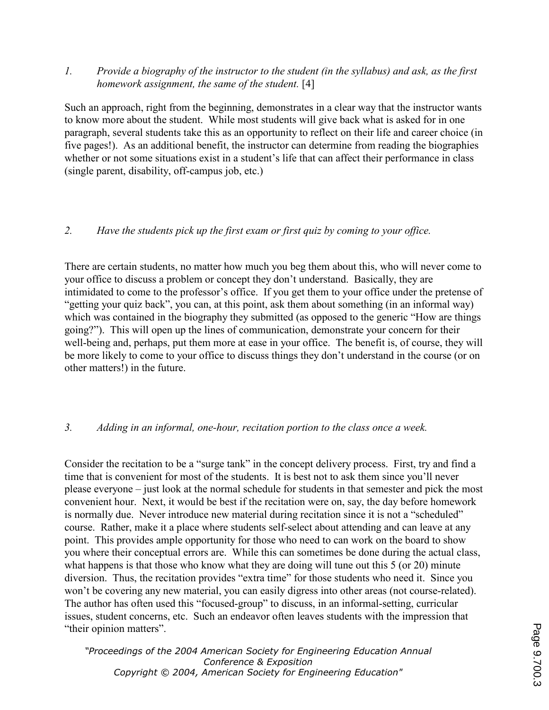1. Provide a biography of the instructor to the student (in the syllabus) and ask, as the first homework assignment, the same of the student. [4]

Such an approach, right from the beginning, demonstrates in a clear way that the instructor wants to know more about the student. While most students will give back what is asked for in one paragraph, several students take this as an opportunity to reflect on their life and career choice (in five pages!). As an additional benefit, the instructor can determine from reading the biographies whether or not some situations exist in a student's life that can affect their performance in class (single parent, disability, off-campus job, etc.)

# 2. Have the students pick up the first exam or first quiz by coming to your office.

There are certain students, no matter how much you beg them about this, who will never come to your office to discuss a problem or concept they don't understand. Basically, they are intimidated to come to the professor's office. If you get them to your office under the pretense of "getting your quiz back", you can, at this point, ask them about something (in an informal way) which was contained in the biography they submitted (as opposed to the generic "How are things") going?"). This will open up the lines of communication, demonstrate your concern for their well-being and, perhaps, put them more at ease in your office. The benefit is, of course, they will be more likely to come to your office to discuss things they don't understand in the course (or on other matters!) in the future.

## 3. Adding in an informal, one-hour, recitation portion to the class once a week.

Consider the recitation to be a "surge tank" in the concept delivery process. First, try and find a time that is convenient for most of the students. It is best not to ask them since you'll never please everyone – just look at the normal schedule for students in that semester and pick the most convenient hour. Next, it would be best if the recitation were on, say, the day before homework is normally due. Never introduce new material during recitation since it is not a "scheduled" course. Rather, make it a place where students self-select about attending and can leave at any point. This provides ample opportunity for those who need to can work on the board to show you where their conceptual errors are. While this can sometimes be done during the actual class, what happens is that those who know what they are doing will tune out this 5 (or 20) minute diversion. Thus, the recitation provides "extra time" for those students who need it. Since you won't be covering any new material, you can easily digress into other areas (not course-related). The author has often used this "focused-group" to discuss, in an informal-setting, curricular issues, student concerns, etc. Such an endeavor often leaves students with the impression that "their opinion matters".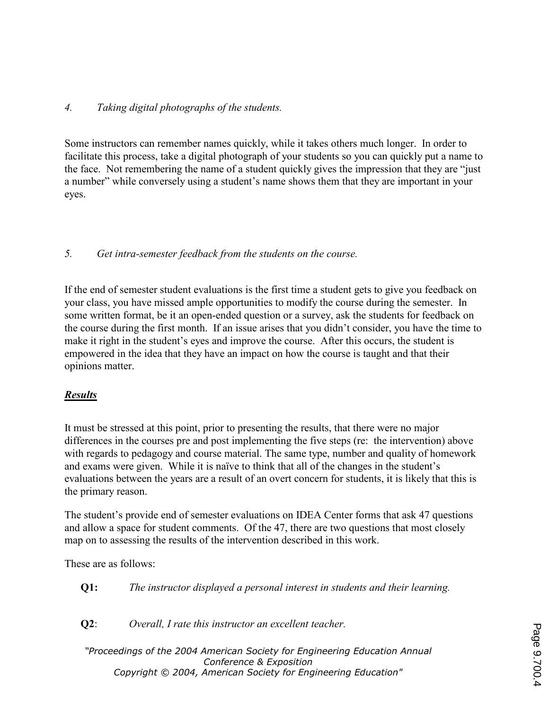## 4. Taking digital photographs of the students.

Some instructors can remember names quickly, while it takes others much longer. In order to facilitate this process, take a digital photograph of your students so you can quickly put a name to the face. Not remembering the name of a student quickly gives the impression that they are "just a number" while conversely using a student's name shows them that they are important in your eyes.

# 5. Get intra-semester feedback from the students on the course.

If the end of semester student evaluations is the first time a student gets to give you feedback on your class, you have missed ample opportunities to modify the course during the semester. In some written format, be it an open-ended question or a survey, ask the students for feedback on the course during the first month. If an issue arises that you didn't consider, you have the time to make it right in the student's eyes and improve the course. After this occurs, the student is empowered in the idea that they have an impact on how the course is taught and that their opinions matter.

# Results

It must be stressed at this point, prior to presenting the results, that there were no major differences in the courses pre and post implementing the five steps (re: the intervention) above with regards to pedagogy and course material. The same type, number and quality of homework and exams were given. While it is naïve to think that all of the changes in the student's evaluations between the years are a result of an overt concern for students, it is likely that this is the primary reason.

The student's provide end of semester evaluations on IDEA Center forms that ask 47 questions and allow a space for student comments. Of the 47, there are two questions that most closely map on to assessing the results of the intervention described in this work.

These are as follows:

Q1: The instructor displayed a personal interest in students and their learning.

Q2: Overall, I rate this instructor an excellent teacher.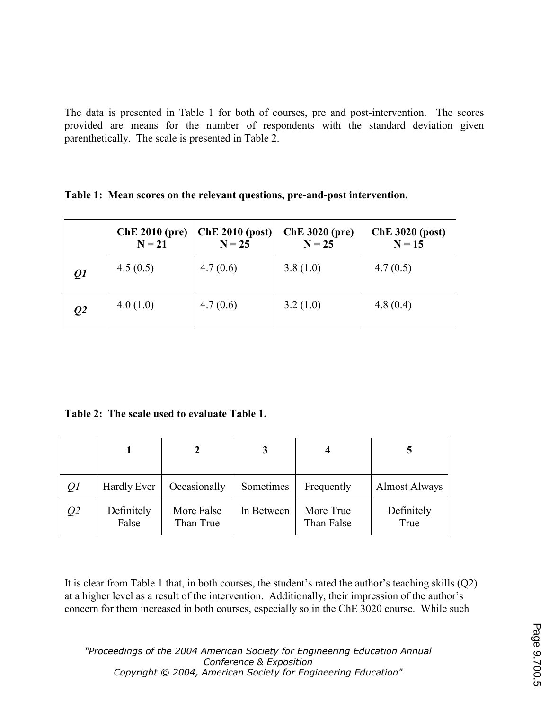The data is presented in Table 1 for both of courses, pre and post-intervention. The scores provided are means for the number of respondents with the standard deviation given parenthetically. The scale is presented in Table 2.

Table 1: Mean scores on the relevant questions, pre-and-post intervention.

|                 | <b>ChE 2010 (pre)</b><br>$N = 21$ | ChE 2010 (post)<br>$N = 25$ | <b>ChE 3020 (pre)</b><br>$N = 25$ | <b>ChE 3020 (post)</b><br>$N = 15$ |
|-----------------|-----------------------------------|-----------------------------|-----------------------------------|------------------------------------|
| $\mathcal{Q}1$  | 4.5(0.5)                          | 4.7(0.6)                    | 3.8(1.0)                          | 4.7(0.5)                           |
| $\overline{Q}2$ | 4.0(1.0)                          | 4.7(0.6)                    | 3.2(1.0)                          | 4.8(0.4)                           |

Table 2: The scale used to evaluate Table 1.

| Q <sub>I</sub> | Hardly Ever         | Occasionally            | Sometimes  | Frequently              | <b>Almost Always</b> |
|----------------|---------------------|-------------------------|------------|-------------------------|----------------------|
| Q <sub>2</sub> | Definitely<br>False | More False<br>Than True | In Between | More True<br>Than False | Definitely<br>True   |

It is clear from Table 1 that, in both courses, the student's rated the author's teaching skills (Q2) at a higher level as a result of the intervention. Additionally, their impression of the author's concern for them increased in both courses, especially so in the ChE 3020 course. While such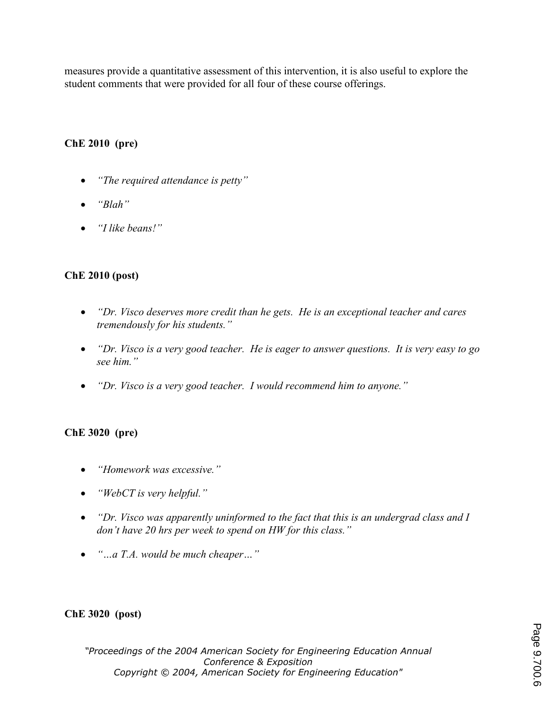measures provide a quantitative assessment of this intervention, it is also useful to explore the student comments that were provided for all four of these course offerings.

# ChE 2010 (pre)

- "The required attendance is petty"
- "Blah"
- *"I like beans!"*

## ChE 2010 (post)

- "Dr. Visco deserves more credit than he gets. He is an exceptional teacher and cares tremendously for his students."
- "Dr. Visco is a very good teacher. He is eager to answer questions. It is very easy to go see him."
- "Dr. Visco is a very good teacher. I would recommend him to anyone."

## ChE 3020 (pre)

- "Homework was excessive."
- "WebCT is very helpful."
- "Dr. Visco was apparently uninformed to the fact that this is an undergrad class and I don't have 20 hrs per week to spend on HW for this class."
- "...a T.A. would be much cheaper..."

## ChE 3020 (post)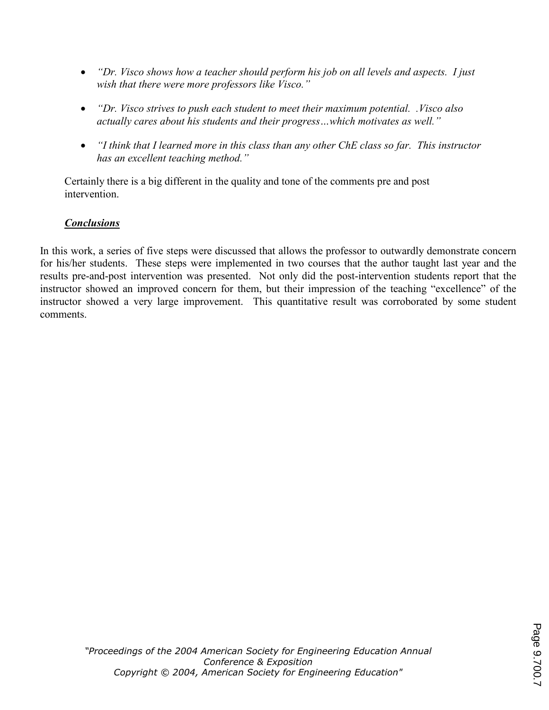- "Dr. Visco shows how a teacher should perform his job on all levels and aspects. I just wish that there were more professors like Visco."
- "Dr. Visco strives to push each student to meet their maximum potential. Visco also actually cares about his students and their progress…which motivates as well."
- "I think that I learned more in this class than any other ChE class so far. This instructor has an excellent teaching method."

Certainly there is a big different in the quality and tone of the comments pre and post intervention.

# **Conclusions**

In this work, a series of five steps were discussed that allows the professor to outwardly demonstrate concern for his/her students. These steps were implemented in two courses that the author taught last year and the results pre-and-post intervention was presented. Not only did the post-intervention students report that the instructor showed an improved concern for them, but their impression of the teaching "excellence" of the instructor showed a very large improvement. This quantitative result was corroborated by some student comments.